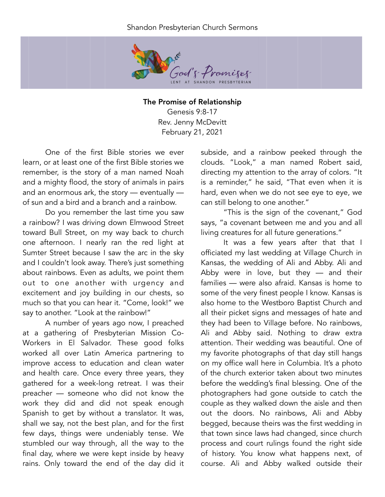## Shandon Presbyterian Church Sermons



The Promise of Relationship Genesis 9:8-17 Rev. Jenny McDevitt February 21, 2021

One of the first Bible stories we ever learn, or at least one of the first Bible stories we remember, is the story of a man named Noah and a mighty flood, the story of animals in pairs and an enormous ark, the story — eventually of sun and a bird and a branch and a rainbow.

Do you remember the last time you saw a rainbow? I was driving down Elmwood Street toward Bull Street, on my way back to church one afternoon. I nearly ran the red light at Sumter Street because I saw the arc in the sky and I couldn't look away. There's just something about rainbows. Even as adults, we point them out to one another with urgency and excitement and joy building in our chests, so much so that you can hear it. "Come, look!" we say to another. "Look at the rainbow!"

A number of years ago now, I preached at a gathering of Presbyterian Mission Co-Workers in El Salvador. These good folks worked all over Latin America partnering to improve access to education and clean water and health care. Once every three years, they gathered for a week-long retreat. I was their preacher — someone who did not know the work they did and did not speak enough Spanish to get by without a translator. It was, shall we say, not the best plan, and for the first few days, things were undeniably tense. We stumbled our way through, all the way to the final day, where we were kept inside by heavy rains. Only toward the end of the day did it

subside, and a rainbow peeked through the clouds. "Look," a man named Robert said, directing my attention to the array of colors. "It is a reminder," he said, "That even when it is hard, even when we do not see eye to eye, we can still belong to one another."

"This is the sign of the covenant," God says, "a covenant between me and you and all living creatures for all future generations."

It was a few years after that that I officiated my last wedding at Village Church in Kansas, the wedding of Ali and Abby. Ali and Abby were in love, but they — and their families — were also afraid. Kansas is home to some of the very finest people I know. Kansas is also home to the Westboro Baptist Church and all their picket signs and messages of hate and they had been to Village before. No rainbows, Ali and Abby said. Nothing to draw extra attention. Their wedding was beautiful. One of my favorite photographs of that day still hangs on my office wall here in Columbia. It's a photo of the church exterior taken about two minutes before the wedding's final blessing. One of the photographers had gone outside to catch the couple as they walked down the aisle and then out the doors. No rainbows, Ali and Abby begged, because theirs was the first wedding in that town since laws had changed, since church process and court rulings found the right side of history. You know what happens next, of course. Ali and Abby walked outside their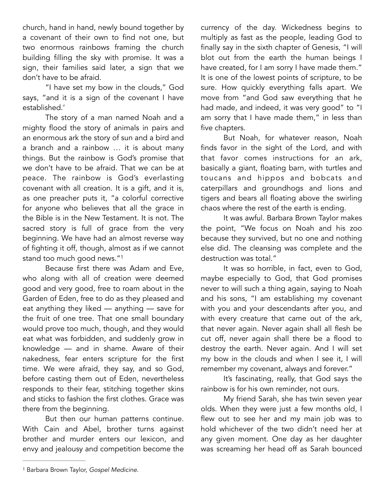church, hand in hand, newly bound together by a covenant of their own to find not one, but two enormous rainbows framing the church building filling the sky with promise. It was a sign, their families said later, a sign that we don't have to be afraid.

"I have set my bow in the clouds," God says, "and it is a sign of the covenant I have established.'

The story of a man named Noah and a mighty flood the story of animals in pairs and an enormous ark the story of sun and a bird and a branch and a rainbow … it is about many things. But the rainbow is God's promise that we don't have to be afraid. That we can be at peace. The rainbow is God's everlasting covenant with all creation. It is a gift, and it is, as one preacher puts it, "a colorful corrective for anyone who believes that all the grace in the Bible is in the New Testament. It is not. The sacred story is full of grace from the very beginning. We have had an almost reverse way of fighting it off, though, almost as if we cannot stand too much good news."[1](#page-1-0)

Because first there was Adam and Eve, who along with all of creation were deemed good and very good, free to roam about in the Garden of Eden, free to do as they pleased and eat anything they liked — anything — save for the fruit of one tree. That one small boundary would prove too much, though, and they would eat what was forbidden, and suddenly grow in knowledge — and in shame. Aware of their nakedness, fear enters scripture for the first time. We were afraid, they say, and so God, before casting them out of Eden, nevertheless responds to their fear, stitching together skins and sticks to fashion the first clothes. Grace was there from the beginning.

But then our human patterns continue. With Cain and Abel, brother turns against brother and murder enters our lexicon, and envy and jealousy and competition become the currency of the day. Wickedness begins to multiply as fast as the people, leading God to finally say in the sixth chapter of Genesis, "I will blot out from the earth the human beings I have created, for I am sorry I have made them." It is one of the lowest points of scripture, to be sure. How quickly everything falls apart. We move from "and God saw everything that he had made, and indeed, it was very good" to "I am sorry that I have made them," in less than five chapters.

But Noah, for whatever reason, Noah finds favor in the sight of the Lord, and with that favor comes instructions for an ark, basically a giant, floating barn, with turtles and toucans and hippos and bobcats and caterpillars and groundhogs and lions and tigers and bears all floating above the swirling chaos where the rest of the earth is ending.

It was awful. Barbara Brown Taylor makes the point, "We focus on Noah and his zoo because they survived, but no one and nothing else did. The cleansing was complete and the destruction was total."

<span id="page-1-1"></span>It was so horrible, in fact, even to God, maybe especially to God, that God promises never to will such a thing again, saying to Noah and his sons, "I am establishing my covenant with you and your descendants after you, and with every creature that came out of the ark, that never again. Never again shall all flesh be cut off, never again shall there be a flood to destroy the earth. Never again. And I will set my bow in the clouds and when I see it, I will remember my covenant, always and forever."

It's fascinating, really, that God says the rainbow is for his own reminder, not ours.

My friend Sarah, she has twin seven year olds. When they were just a few months old, I flew out to see her and my main job was to hold whichever of the two didn't need her at any given moment. One day as her daughter was screaming her head off as Sarah bounced

<span id="page-1-0"></span><sup>&</sup>lt;sup>[1](#page-1-1)</sup> Barbara Brown Taylor, *Gospel Medicine*.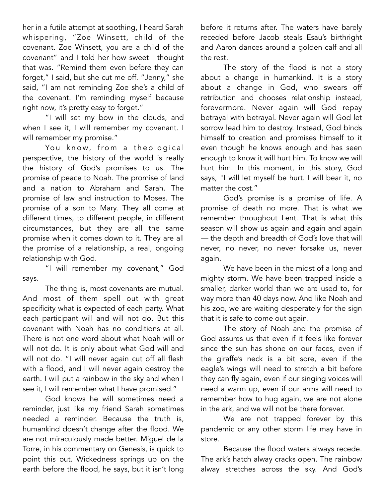her in a futile attempt at soothing, I heard Sarah whispering, "Zoe Winsett, child of the covenant. Zoe Winsett, you are a child of the covenant" and I told her how sweet I thought that was. "Remind them even before they can forget," I said, but she cut me off. "Jenny," she said, "I am not reminding Zoe she's a child of the covenant. I'm reminding myself because right now, it's pretty easy to forget."

"I will set my bow in the clouds, and when I see it, I will remember my covenant. I will remember my promise."

You know, from a theological perspective, the history of the world is really the history of God's promises to us. The promise of peace to Noah. The promise of land and a nation to Abraham and Sarah. The promise of law and instruction to Moses. The promise of a son to Mary. They all come at different times, to different people, in different circumstances, but they are all the same promise when it comes down to it. They are all the promise of a relationship, a real, ongoing relationship with God.

"I will remember my covenant," God says.

The thing is, most covenants are mutual. And most of them spell out with great specificity what is expected of each party. What each participant will and will not do. But this covenant with Noah has no conditions at all. There is not one word about what Noah will or will not do. It is only about what God will and will not do. "I will never again cut off all flesh with a flood, and I will never again destroy the earth. I will put a rainbow in the sky and when I see it, I will remember what I have promised."

God knows he will sometimes need a reminder, just like my friend Sarah sometimes needed a reminder. Because the truth is, humankind doesn't change after the flood. We are not miraculously made better. Miguel de la Torre, in his commentary on Genesis, is quick to point this out. Wickedness springs up on the earth before the flood, he says, but it isn't long

before it returns after. The waters have barely receded before Jacob steals Esau's birthright and Aaron dances around a golden calf and all the rest.

The story of the flood is not a story about a change in humankind. It is a story about a change in God, who swears off retribution and chooses relationship instead, forevermore. Never again will God repay betrayal with betrayal. Never again will God let sorrow lead him to destroy. Instead, God binds himself to creation and promises himself to it even though he knows enough and has seen enough to know it will hurt him. To know we will hurt him. In this moment, in this story, God says, "I will let myself be hurt. I will bear it, no matter the cost."

God's promise is a promise of life. A promise of death no more. That is what we remember throughout Lent. That is what this season will show us again and again and again — the depth and breadth of God's love that will never, no never, no never forsake us, never again.

We have been in the midst of a long and mighty storm. We have been trapped inside a smaller, darker world than we are used to, for way more than 40 days now. And like Noah and his zoo, we are waiting desperately for the sign that it is safe to come out again.

The story of Noah and the promise of God assures us that even if it feels like forever since the sun has shone on our faces, even if the giraffe's neck is a bit sore, even if the eagle's wings will need to stretch a bit before they can fly again, even if our singing voices will need a warm up, even if our arms will need to remember how to hug again, we are not alone in the ark, and we will not be there forever.

We are not trapped forever by this pandemic or any other storm life may have in store.

Because the flood waters always recede. The ark's hatch alway cracks open. The rainbow alway stretches across the sky. And God's